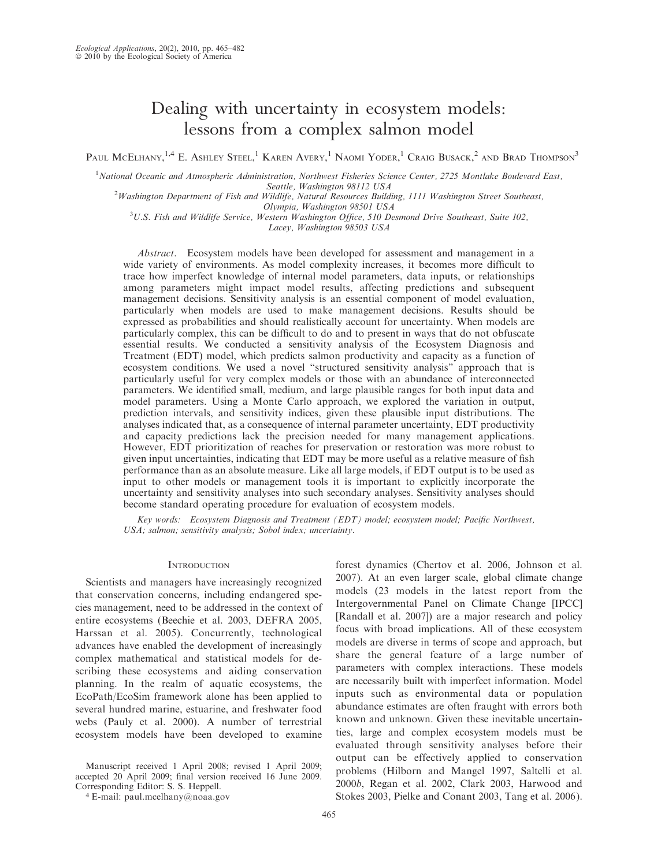# Dealing with uncertainty in ecosystem models: lessons from a complex salmon model

Paul McElhany,<sup>1,4</sup> E. Ashley Steel,<sup>1</sup> Karen Avery,<sup>1</sup> Naomi Yoder,<sup>1</sup> Craig Busack,<sup>2</sup> and Brad Thompson<sup>3</sup>

<sup>1</sup>National Oceanic and Atmospheric Administration, Northwest Fisheries Science Center, 2725 Montlake Boulevard East,

Seattle, Washington 98112 USA<br><sup>2</sup>Washington Department of Fish and Wildlife, Natural Resources Building, 1111 Washington Street Southeast,

Olympia, Washington 98501 USA<br><sup>3</sup>U.S. Fish and Wildlife Service, Western Washington Office, 510 Desmond Drive Southeast, Suite 102,

Lacey, Washington 98503 USA

Abstract. Ecosystem models have been developed for assessment and management in a wide variety of environments. As model complexity increases, it becomes more difficult to trace how imperfect knowledge of internal model parameters, data inputs, or relationships among parameters might impact model results, affecting predictions and subsequent management decisions. Sensitivity analysis is an essential component of model evaluation, particularly when models are used to make management decisions. Results should be expressed as probabilities and should realistically account for uncertainty. When models are particularly complex, this can be difficult to do and to present in ways that do not obfuscate essential results. We conducted a sensitivity analysis of the Ecosystem Diagnosis and Treatment (EDT) model, which predicts salmon productivity and capacity as a function of ecosystem conditions. We used a novel ''structured sensitivity analysis'' approach that is particularly useful for very complex models or those with an abundance of interconnected parameters. We identified small, medium, and large plausible ranges for both input data and model parameters. Using a Monte Carlo approach, we explored the variation in output, prediction intervals, and sensitivity indices, given these plausible input distributions. The analyses indicated that, as a consequence of internal parameter uncertainty, EDT productivity and capacity predictions lack the precision needed for many management applications. However, EDT prioritization of reaches for preservation or restoration was more robust to given input uncertainties, indicating that EDT may be more useful as a relative measure of fish performance than as an absolute measure. Like all large models, if EDT output is to be used as input to other models or management tools it is important to explicitly incorporate the uncertainty and sensitivity analyses into such secondary analyses. Sensitivity analyses should become standard operating procedure for evaluation of ecosystem models.

Key words: Ecosystem Diagnosis and Treatment (EDT) model; ecosystem model; Pacific Northwest, USA; salmon; sensitivity analysis; Sobol index; uncertainty.

# **INTRODUCTION**

Scientists and managers have increasingly recognized that conservation concerns, including endangered species management, need to be addressed in the context of entire ecosystems (Beechie et al. 2003, DEFRA 2005, Harssan et al. 2005). Concurrently, technological advances have enabled the development of increasingly complex mathematical and statistical models for describing these ecosystems and aiding conservation planning. In the realm of aquatic ecosystems, the EcoPath/EcoSim framework alone has been applied to several hundred marine, estuarine, and freshwater food webs (Pauly et al. 2000). A number of terrestrial ecosystem models have been developed to examine

Manuscript received 1 April 2008; revised 1 April 2009; accepted 20 April 2009; final version received 16 June 2009. Corresponding Editor: S. S. Heppell.

<sup>4</sup> E-mail: paul.mcelhany@noaa.gov

forest dynamics (Chertov et al. 2006, Johnson et al. 2007). At an even larger scale, global climate change models (23 models in the latest report from the Intergovernmental Panel on Climate Change [IPCC] [Randall et al. 2007]) are a major research and policy focus with broad implications. All of these ecosystem models are diverse in terms of scope and approach, but share the general feature of a large number of parameters with complex interactions. These models are necessarily built with imperfect information. Model inputs such as environmental data or population abundance estimates are often fraught with errors both known and unknown. Given these inevitable uncertainties, large and complex ecosystem models must be evaluated through sensitivity analyses before their output can be effectively applied to conservation problems (Hilborn and Mangel 1997, Saltelli et al. 2000b, Regan et al. 2002, Clark 2003, Harwood and Stokes 2003, Pielke and Conant 2003, Tang et al. 2006).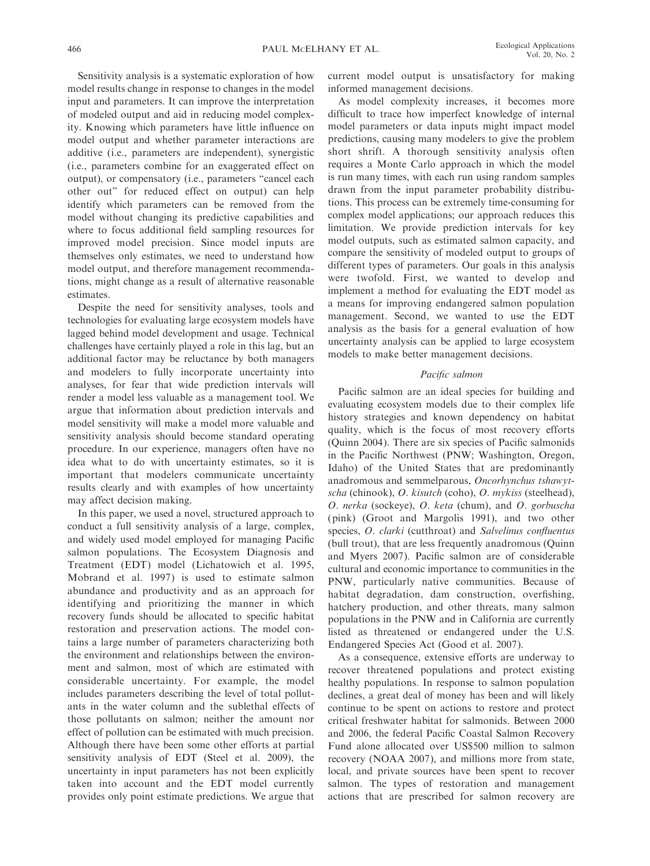Sensitivity analysis is a systematic exploration of how model results change in response to changes in the model input and parameters. It can improve the interpretation of modeled output and aid in reducing model complexity. Knowing which parameters have little influence on model output and whether parameter interactions are additive (i.e., parameters are independent), synergistic (i.e., parameters combine for an exaggerated effect on output), or compensatory (i.e., parameters ''cancel each other out'' for reduced effect on output) can help identify which parameters can be removed from the model without changing its predictive capabilities and where to focus additional field sampling resources for improved model precision. Since model inputs are themselves only estimates, we need to understand how model output, and therefore management recommendations, might change as a result of alternative reasonable estimates.

Despite the need for sensitivity analyses, tools and technologies for evaluating large ecosystem models have lagged behind model development and usage. Technical challenges have certainly played a role in this lag, but an additional factor may be reluctance by both managers and modelers to fully incorporate uncertainty into analyses, for fear that wide prediction intervals will render a model less valuable as a management tool. We argue that information about prediction intervals and model sensitivity will make a model more valuable and sensitivity analysis should become standard operating procedure. In our experience, managers often have no idea what to do with uncertainty estimates, so it is important that modelers communicate uncertainty results clearly and with examples of how uncertainty may affect decision making.

In this paper, we used a novel, structured approach to conduct a full sensitivity analysis of a large, complex, and widely used model employed for managing Pacific salmon populations. The Ecosystem Diagnosis and Treatment (EDT) model (Lichatowich et al. 1995, Mobrand et al. 1997) is used to estimate salmon abundance and productivity and as an approach for identifying and prioritizing the manner in which recovery funds should be allocated to specific habitat restoration and preservation actions. The model contains a large number of parameters characterizing both the environment and relationships between the environment and salmon, most of which are estimated with considerable uncertainty. For example, the model includes parameters describing the level of total pollutants in the water column and the sublethal effects of those pollutants on salmon; neither the amount nor effect of pollution can be estimated with much precision. Although there have been some other efforts at partial sensitivity analysis of EDT (Steel et al. 2009), the uncertainty in input parameters has not been explicitly taken into account and the EDT model currently provides only point estimate predictions. We argue that

current model output is unsatisfactory for making informed management decisions.

As model complexity increases, it becomes more difficult to trace how imperfect knowledge of internal model parameters or data inputs might impact model predictions, causing many modelers to give the problem short shrift. A thorough sensitivity analysis often requires a Monte Carlo approach in which the model is run many times, with each run using random samples drawn from the input parameter probability distributions. This process can be extremely time-consuming for complex model applications; our approach reduces this limitation. We provide prediction intervals for key model outputs, such as estimated salmon capacity, and compare the sensitivity of modeled output to groups of different types of parameters. Our goals in this analysis were twofold. First, we wanted to develop and implement a method for evaluating the EDT model as a means for improving endangered salmon population management. Second, we wanted to use the EDT analysis as the basis for a general evaluation of how uncertainty analysis can be applied to large ecosystem models to make better management decisions.

## Pacific salmon

Pacific salmon are an ideal species for building and evaluating ecosystem models due to their complex life history strategies and known dependency on habitat quality, which is the focus of most recovery efforts (Quinn 2004). There are six species of Pacific salmonids in the Pacific Northwest (PNW; Washington, Oregon, Idaho) of the United States that are predominantly anadromous and semmelparous, Oncorhynchus tshawytscha (chinook), O. kisutch (coho), O. mykiss (steelhead), O. nerka (sockeye), O. keta (chum), and O. gorbuscha (pink) (Groot and Margolis 1991), and two other species, O. clarki (cutthroat) and Salvelinus confluentus (bull trout), that are less frequently anadromous (Quinn and Myers 2007). Pacific salmon are of considerable cultural and economic importance to communities in the PNW, particularly native communities. Because of habitat degradation, dam construction, overfishing, hatchery production, and other threats, many salmon populations in the PNW and in California are currently listed as threatened or endangered under the U.S. Endangered Species Act (Good et al. 2007).

As a consequence, extensive efforts are underway to recover threatened populations and protect existing healthy populations. In response to salmon population declines, a great deal of money has been and will likely continue to be spent on actions to restore and protect critical freshwater habitat for salmonids. Between 2000 and 2006, the federal Pacific Coastal Salmon Recovery Fund alone allocated over US\$500 million to salmon recovery (NOAA 2007), and millions more from state, local, and private sources have been spent to recover salmon. The types of restoration and management actions that are prescribed for salmon recovery are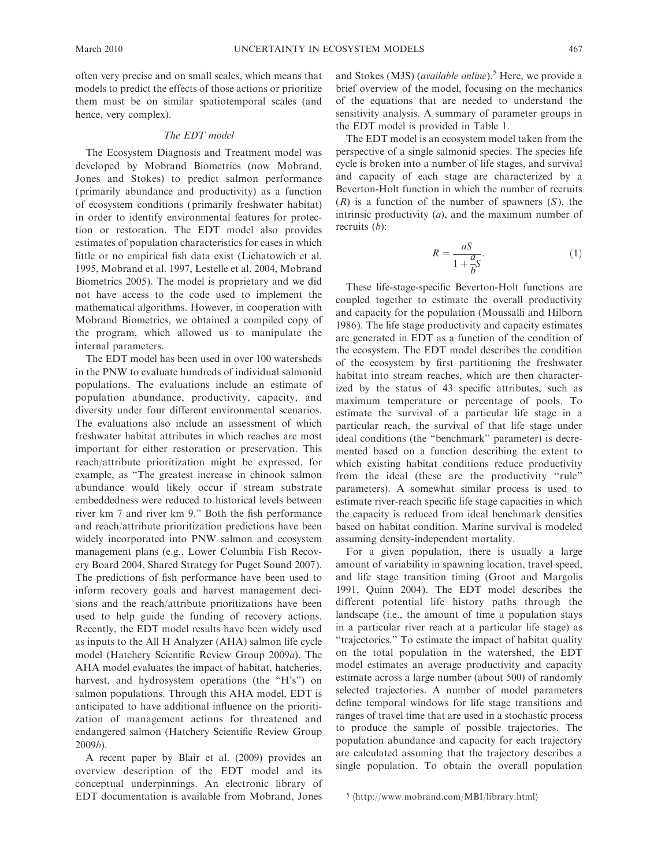often very precise and on small scales, which means that models to predict the effects of those actions or prioritize them must be on similar spatiotemporal scales (and hence, very complex).

# The EDT model

The Ecosystem Diagnosis and Treatment model was developed by Mobrand Biometrics (now Mobrand, Jones and Stokes) to predict salmon performance (primarily abundance and productivity) as a function of ecosystem conditions (primarily freshwater habitat) in order to identify environmental features for protection or restoration. The EDT model also provides estimates of population characteristics for cases in which little or no empirical fish data exist (Lichatowich et al. 1995, Mobrand et al. 1997, Lestelle et al. 2004, Mobrand Biometrics 2005). The model is proprietary and we did not have access to the code used to implement the mathematical algorithms. However, in cooperation with Mobrand Biometrics, we obtained a compiled copy of the program, which allowed us to manipulate the internal parameters.

The EDT model has been used in over 100 watersheds in the PNW to evaluate hundreds of individual salmonid populations. The evaluations include an estimate of population abundance, productivity, capacity, and diversity under four different environmental scenarios. The evaluations also include an assessment of which freshwater habitat attributes in which reaches are most important for either restoration or preservation. This reach/attribute prioritization might be expressed, for example, as ''The greatest increase in chinook salmon abundance would likely occur if stream substrate embeddedness were reduced to historical levels between river km 7 and river km 9.'' Both the fish performance and reach/attribute prioritization predictions have been widely incorporated into PNW salmon and ecosystem management plans (e.g., Lower Columbia Fish Recovery Board 2004, Shared Strategy for Puget Sound 2007). The predictions of fish performance have been used to inform recovery goals and harvest management decisions and the reach/attribute prioritizations have been used to help guide the funding of recovery actions. Recently, the EDT model results have been widely used as inputs to the All H Analyzer (AHA) salmon life cycle model (Hatchery Scientific Review Group 2009a). The AHA model evaluates the impact of habitat, hatcheries, harvest, and hydrosystem operations (the "H's") on salmon populations. Through this AHA model, EDT is anticipated to have additional influence on the prioritization of management actions for threatened and endangered salmon (Hatchery Scientific Review Group 2009b).

A recent paper by Blair et al. (2009) provides an overview description of the EDT model and its conceptual underpinnings. An electronic library of EDT documentation is available from Mobrand, Jones and Stokes (MJS) (*available online*).<sup>5</sup> Here, we provide a brief overview of the model, focusing on the mechanics of the equations that are needed to understand the sensitivity analysis. A summary of parameter groups in the EDT model is provided in Table 1.

The EDT model is an ecosystem model taken from the perspective of a single salmonid species. The species life cycle is broken into a number of life stages, and survival and capacity of each stage are characterized by a Beverton-Holt function in which the number of recruits  $(R)$  is a function of the number of spawners  $(S)$ , the intrinsic productivity  $(a)$ , and the maximum number of recruits  $(b)$ :

$$
R = \frac{aS}{1 + \frac{a}{b}S}.\tag{1}
$$

These life-stage-specific Beverton-Holt functions are coupled together to estimate the overall productivity and capacity for the population (Moussalli and Hilborn 1986). The life stage productivity and capacity estimates are generated in EDT as a function of the condition of the ecosystem. The EDT model describes the condition of the ecosystem by first partitioning the freshwater habitat into stream reaches, which are then characterized by the status of 43 specific attributes, such as maximum temperature or percentage of pools. To estimate the survival of a particular life stage in a particular reach, the survival of that life stage under ideal conditions (the ''benchmark'' parameter) is decremented based on a function describing the extent to which existing habitat conditions reduce productivity from the ideal (these are the productivity "rule" parameters). A somewhat similar process is used to estimate river-reach specific life stage capacities in which the capacity is reduced from ideal benchmark densities based on habitat condition. Marine survival is modeled assuming density-independent mortality.

For a given population, there is usually a large amount of variability in spawning location, travel speed, and life stage transition timing (Groot and Margolis 1991, Quinn 2004). The EDT model describes the different potential life history paths through the landscape (i.e., the amount of time a population stays in a particular river reach at a particular life stage) as ''trajectories.'' To estimate the impact of habitat quality on the total population in the watershed, the EDT model estimates an average productivity and capacity estimate across a large number (about 500) of randomly selected trajectories. A number of model parameters define temporal windows for life stage transitions and ranges of travel time that are used in a stochastic process to produce the sample of possible trajectories. The population abundance and capacity for each trajectory are calculated assuming that the trajectory describes a single population. To obtain the overall population

 $5 \langle \text{http://www.mobrand.com/MBI/library.html}\rangle$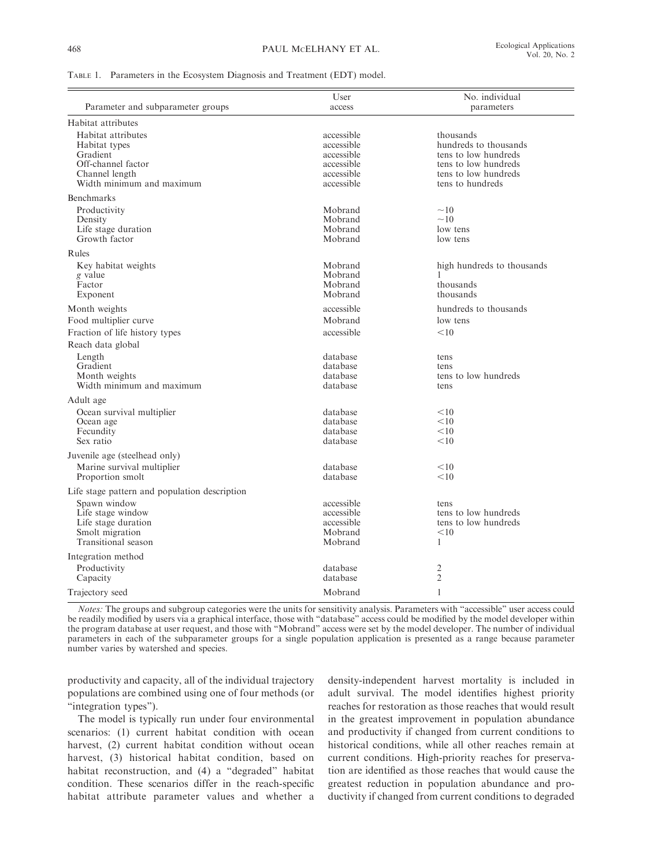TABLE 1. Parameters in the Ecosystem Diagnosis and Treatment (EDT) model.

|                                               | User       | No. individual             |  |  |  |
|-----------------------------------------------|------------|----------------------------|--|--|--|
| Parameter and subparameter groups             | access     | parameters                 |  |  |  |
| Habitat attributes                            |            |                            |  |  |  |
| Habitat attributes                            | accessible | thousands                  |  |  |  |
| Habitat types                                 | accessible | hundreds to thousands      |  |  |  |
| Gradient                                      | accessible | tens to low hundreds       |  |  |  |
| Off-channel factor                            | accessible | tens to low hundreds       |  |  |  |
| Channel length                                | accessible | tens to low hundreds       |  |  |  |
| Width minimum and maximum                     | accessible | tens to hundreds           |  |  |  |
| <b>Benchmarks</b>                             |            |                            |  |  |  |
| Productivity                                  | Mobrand    | $\sim\!10$                 |  |  |  |
| Density                                       | Mobrand    | $\sim$ 10                  |  |  |  |
| Life stage duration                           | Mobrand    | low tens                   |  |  |  |
| Growth factor                                 | Mobrand    | low tens                   |  |  |  |
| Rules                                         |            |                            |  |  |  |
| Key habitat weights                           | Mobrand    | high hundreds to thousands |  |  |  |
| g value                                       | Mobrand    | $\mathbf{1}$               |  |  |  |
| Factor                                        | Mobrand    | thousands                  |  |  |  |
| Exponent                                      | Mobrand    | thousands                  |  |  |  |
| Month weights                                 | accessible | hundreds to thousands      |  |  |  |
| Food multiplier curve                         | Mobrand    | low tens                   |  |  |  |
| Fraction of life history types                | accessible | <10                        |  |  |  |
| Reach data global                             |            |                            |  |  |  |
| Length                                        | database   | tens                       |  |  |  |
| Gradient                                      | database   | tens                       |  |  |  |
| Month weights                                 | database   | tens to low hundreds       |  |  |  |
| Width minimum and maximum                     | database   | tens                       |  |  |  |
| Adult age                                     |            |                            |  |  |  |
| Ocean survival multiplier                     | database   | <10                        |  |  |  |
| Ocean age                                     | database   | <10                        |  |  |  |
| Fecundity                                     | database   | <10                        |  |  |  |
| Sex ratio                                     | database   | $<$ 10                     |  |  |  |
| Juvenile age (steelhead only)                 |            |                            |  |  |  |
| Marine survival multiplier                    | database   | <10                        |  |  |  |
| Proportion smolt                              | database   | $<$ 10                     |  |  |  |
| Life stage pattern and population description |            |                            |  |  |  |
| Spawn window                                  | accessible | tens                       |  |  |  |
| Life stage window                             | accessible | tens to low hundreds       |  |  |  |
| Life stage duration                           | accessible | tens to low hundreds       |  |  |  |
| Smolt migration                               | Mobrand    | <10                        |  |  |  |
| Transitional season                           | Mobrand    | $\mathbf{1}$               |  |  |  |
| Integration method                            |            |                            |  |  |  |
| Productivity                                  | database   | 2                          |  |  |  |
| Capacity                                      | database   | $\overline{2}$             |  |  |  |
| Trajectory seed                               | Mobrand    | $\mathbf{1}$               |  |  |  |
|                                               |            |                            |  |  |  |

Notes: The groups and subgroup categories were the units for sensitivity analysis. Parameters with "accessible" user access could be readily modified by users via a graphical interface, those with ''database'' access could be modified by the model developer within the program database at user request, and those with ''Mobrand'' access were set by the model developer. The number of individual parameters in each of the subparameter groups for a single population application is presented as a range because parameter number varies by watershed and species.

productivity and capacity, all of the individual trajectory populations are combined using one of four methods (or ''integration types'').

The model is typically run under four environmental scenarios: (1) current habitat condition with ocean harvest, (2) current habitat condition without ocean harvest, (3) historical habitat condition, based on habitat reconstruction, and (4) a ''degraded'' habitat condition. These scenarios differ in the reach-specific habitat attribute parameter values and whether a density-independent harvest mortality is included in adult survival. The model identifies highest priority reaches for restoration as those reaches that would result in the greatest improvement in population abundance and productivity if changed from current conditions to historical conditions, while all other reaches remain at current conditions. High-priority reaches for preservation are identified as those reaches that would cause the greatest reduction in population abundance and productivity if changed from current conditions to degraded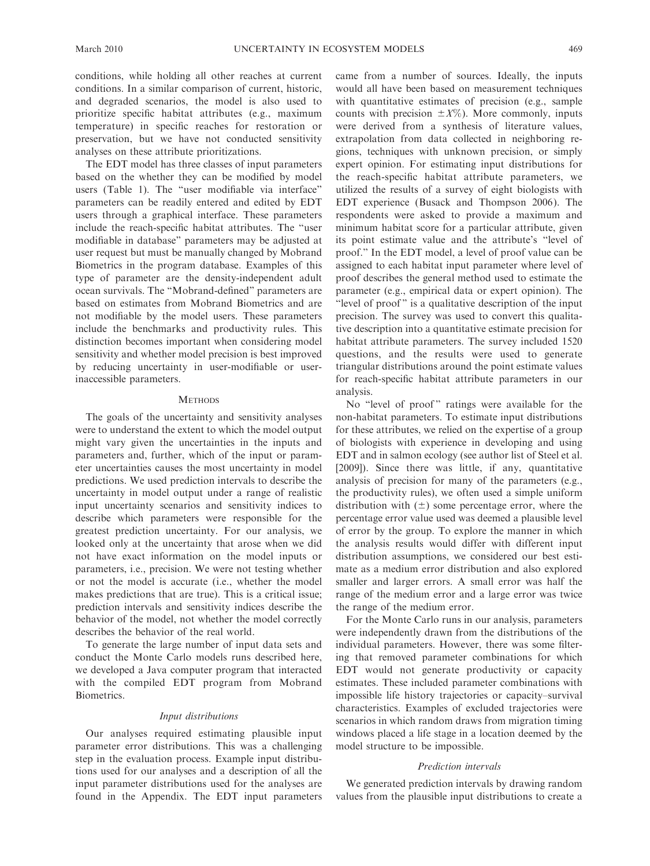conditions, while holding all other reaches at current conditions. In a similar comparison of current, historic, and degraded scenarios, the model is also used to prioritize specific habitat attributes (e.g., maximum temperature) in specific reaches for restoration or preservation, but we have not conducted sensitivity analyses on these attribute prioritizations.

The EDT model has three classes of input parameters based on the whether they can be modified by model users (Table 1). The "user modifiable via interface" parameters can be readily entered and edited by EDT users through a graphical interface. These parameters include the reach-specific habitat attributes. The ''user modifiable in database'' parameters may be adjusted at user request but must be manually changed by Mobrand Biometrics in the program database. Examples of this type of parameter are the density-independent adult ocean survivals. The ''Mobrand-defined'' parameters are based on estimates from Mobrand Biometrics and are not modifiable by the model users. These parameters include the benchmarks and productivity rules. This distinction becomes important when considering model sensitivity and whether model precision is best improved by reducing uncertainty in user-modifiable or userinaccessible parameters.

#### **METHODS**

The goals of the uncertainty and sensitivity analyses were to understand the extent to which the model output might vary given the uncertainties in the inputs and parameters and, further, which of the input or parameter uncertainties causes the most uncertainty in model predictions. We used prediction intervals to describe the uncertainty in model output under a range of realistic input uncertainty scenarios and sensitivity indices to describe which parameters were responsible for the greatest prediction uncertainty. For our analysis, we looked only at the uncertainty that arose when we did not have exact information on the model inputs or parameters, i.e., precision. We were not testing whether or not the model is accurate (i.e., whether the model makes predictions that are true). This is a critical issue; prediction intervals and sensitivity indices describe the behavior of the model, not whether the model correctly describes the behavior of the real world.

To generate the large number of input data sets and conduct the Monte Carlo models runs described here, we developed a Java computer program that interacted with the compiled EDT program from Mobrand Biometrics.

## Input distributions

Our analyses required estimating plausible input parameter error distributions. This was a challenging step in the evaluation process. Example input distributions used for our analyses and a description of all the input parameter distributions used for the analyses are found in the Appendix. The EDT input parameters came from a number of sources. Ideally, the inputs would all have been based on measurement techniques with quantitative estimates of precision (e.g., sample counts with precision  $\pm X\%$ ). More commonly, inputs were derived from a synthesis of literature values, extrapolation from data collected in neighboring regions, techniques with unknown precision, or simply expert opinion. For estimating input distributions for the reach-specific habitat attribute parameters, we utilized the results of a survey of eight biologists with EDT experience (Busack and Thompson 2006). The respondents were asked to provide a maximum and minimum habitat score for a particular attribute, given its point estimate value and the attribute's ''level of proof.'' In the EDT model, a level of proof value can be assigned to each habitat input parameter where level of proof describes the general method used to estimate the parameter (e.g., empirical data or expert opinion). The "level of proof" is a qualitative description of the input precision. The survey was used to convert this qualitative description into a quantitative estimate precision for habitat attribute parameters. The survey included 1520 questions, and the results were used to generate triangular distributions around the point estimate values for reach-specific habitat attribute parameters in our analysis.

No "level of proof" ratings were available for the non-habitat parameters. To estimate input distributions for these attributes, we relied on the expertise of a group of biologists with experience in developing and using EDT and in salmon ecology (see author list of Steel et al. [2009]). Since there was little, if any, quantitative analysis of precision for many of the parameters (e.g., the productivity rules), we often used a simple uniform distribution with  $(\pm)$  some percentage error, where the percentage error value used was deemed a plausible level of error by the group. To explore the manner in which the analysis results would differ with different input distribution assumptions, we considered our best estimate as a medium error distribution and also explored smaller and larger errors. A small error was half the range of the medium error and a large error was twice the range of the medium error.

For the Monte Carlo runs in our analysis, parameters were independently drawn from the distributions of the individual parameters. However, there was some filtering that removed parameter combinations for which EDT would not generate productivity or capacity estimates. These included parameter combinations with impossible life history trajectories or capacity–survival characteristics. Examples of excluded trajectories were scenarios in which random draws from migration timing windows placed a life stage in a location deemed by the model structure to be impossible.

#### Prediction intervals

We generated prediction intervals by drawing random values from the plausible input distributions to create a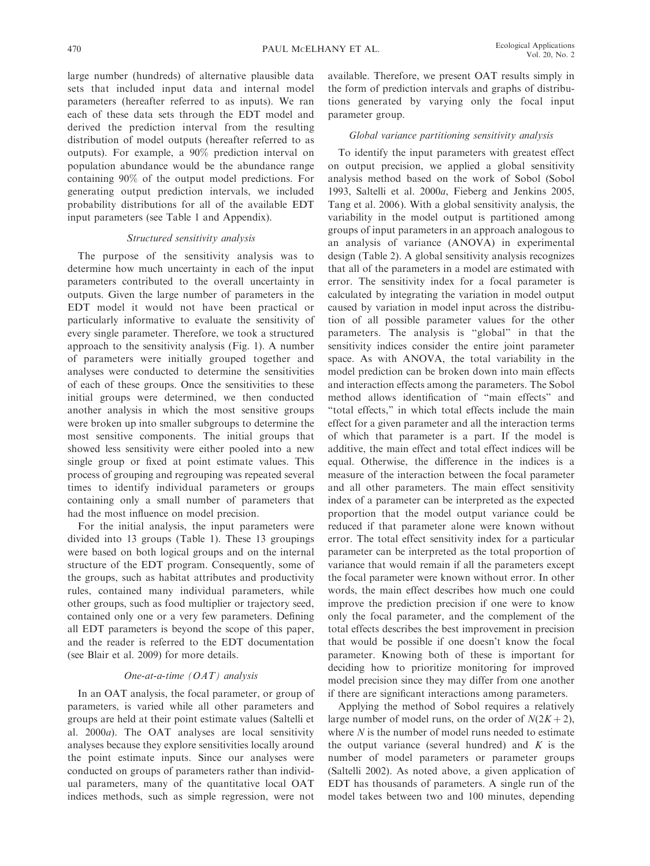large number (hundreds) of alternative plausible data sets that included input data and internal model parameters (hereafter referred to as inputs). We ran each of these data sets through the EDT model and derived the prediction interval from the resulting distribution of model outputs (hereafter referred to as outputs). For example, a 90% prediction interval on population abundance would be the abundance range containing 90% of the output model predictions. For generating output prediction intervals, we included probability distributions for all of the available EDT input parameters (see Table 1 and Appendix).

## Structured sensitivity analysis

The purpose of the sensitivity analysis was to determine how much uncertainty in each of the input parameters contributed to the overall uncertainty in outputs. Given the large number of parameters in the EDT model it would not have been practical or particularly informative to evaluate the sensitivity of every single parameter. Therefore, we took a structured approach to the sensitivity analysis (Fig. 1). A number of parameters were initially grouped together and analyses were conducted to determine the sensitivities of each of these groups. Once the sensitivities to these initial groups were determined, we then conducted another analysis in which the most sensitive groups were broken up into smaller subgroups to determine the most sensitive components. The initial groups that showed less sensitivity were either pooled into a new single group or fixed at point estimate values. This process of grouping and regrouping was repeated several times to identify individual parameters or groups containing only a small number of parameters that had the most influence on model precision.

For the initial analysis, the input parameters were divided into 13 groups (Table 1). These 13 groupings were based on both logical groups and on the internal structure of the EDT program. Consequently, some of the groups, such as habitat attributes and productivity rules, contained many individual parameters, while other groups, such as food multiplier or trajectory seed, contained only one or a very few parameters. Defining all EDT parameters is beyond the scope of this paper, and the reader is referred to the EDT documentation (see Blair et al. 2009) for more details.

# One-at-a-time (OAT) analysis

In an OAT analysis, the focal parameter, or group of parameters, is varied while all other parameters and groups are held at their point estimate values (Saltelli et al. 2000a). The OAT analyses are local sensitivity analyses because they explore sensitivities locally around the point estimate inputs. Since our analyses were conducted on groups of parameters rather than individual parameters, many of the quantitative local OAT indices methods, such as simple regression, were not

available. Therefore, we present OAT results simply in the form of prediction intervals and graphs of distributions generated by varying only the focal input parameter group.

# Global variance partitioning sensitivity analysis

To identify the input parameters with greatest effect on output precision, we applied a global sensitivity analysis method based on the work of Sobol (Sobol 1993, Saltelli et al. 2000a, Fieberg and Jenkins 2005, Tang et al. 2006). With a global sensitivity analysis, the variability in the model output is partitioned among groups of input parameters in an approach analogous to an analysis of variance (ANOVA) in experimental design (Table 2). A global sensitivity analysis recognizes that all of the parameters in a model are estimated with error. The sensitivity index for a focal parameter is calculated by integrating the variation in model output caused by variation in model input across the distribution of all possible parameter values for the other parameters. The analysis is ''global'' in that the sensitivity indices consider the entire joint parameter space. As with ANOVA, the total variability in the model prediction can be broken down into main effects and interaction effects among the parameters. The Sobol method allows identification of ''main effects'' and ''total effects,'' in which total effects include the main effect for a given parameter and all the interaction terms of which that parameter is a part. If the model is additive, the main effect and total effect indices will be equal. Otherwise, the difference in the indices is a measure of the interaction between the focal parameter and all other parameters. The main effect sensitivity index of a parameter can be interpreted as the expected proportion that the model output variance could be reduced if that parameter alone were known without error. The total effect sensitivity index for a particular parameter can be interpreted as the total proportion of variance that would remain if all the parameters except the focal parameter were known without error. In other words, the main effect describes how much one could improve the prediction precision if one were to know only the focal parameter, and the complement of the total effects describes the best improvement in precision that would be possible if one doesn't know the focal parameter. Knowing both of these is important for deciding how to prioritize monitoring for improved model precision since they may differ from one another if there are significant interactions among parameters.

Applying the method of Sobol requires a relatively large number of model runs, on the order of  $N(2K + 2)$ , where  $N$  is the number of model runs needed to estimate the output variance (several hundred) and  $K$  is the number of model parameters or parameter groups (Saltelli 2002). As noted above, a given application of EDT has thousands of parameters. A single run of the model takes between two and 100 minutes, depending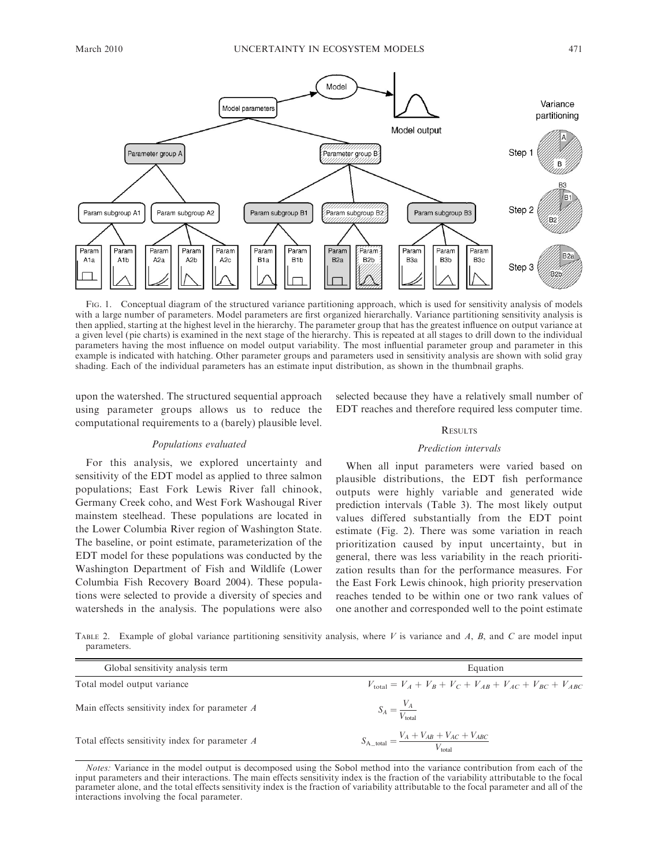

FIG. 1. Conceptual diagram of the structured variance partitioning approach, which is used for sensitivity analysis of models with a large number of parameters. Model parameters are first organized hierarchally. Variance partitioning sensitivity analysis is then applied, starting at the highest level in the hierarchy. The parameter group that has the greatest influence on output variance at a given level (pie charts) is examined in the next stage of the hierarchy. This is repeated at all stages to drill down to the individual parameters having the most influence on model output variability. The most influential parameter group and parameter in this example is indicated with hatching. Other parameter groups and parameters used in sensitivity analysis are shown with solid gray shading. Each of the individual parameters has an estimate input distribution, as shown in the thumbnail graphs.

upon the watershed. The structured sequential approach using parameter groups allows us to reduce the computational requirements to a (barely) plausible level.

selected because they have a relatively small number of EDT reaches and therefore required less computer time.

#### Populations evaluated

For this analysis, we explored uncertainty and sensitivity of the EDT model as applied to three salmon populations; East Fork Lewis River fall chinook, Germany Creek coho, and West Fork Washougal River mainstem steelhead. These populations are located in the Lower Columbia River region of Washington State. The baseline, or point estimate, parameterization of the EDT model for these populations was conducted by the Washington Department of Fish and Wildlife (Lower Columbia Fish Recovery Board 2004). These populations were selected to provide a diversity of species and watersheds in the analysis. The populations were also

# RESULTS

# Prediction intervals

When all input parameters were varied based on plausible distributions, the EDT fish performance outputs were highly variable and generated wide prediction intervals (Table 3). The most likely output values differed substantially from the EDT point estimate (Fig. 2). There was some variation in reach prioritization caused by input uncertainty, but in general, there was less variability in the reach prioritization results than for the performance measures. For the East Fork Lewis chinook, high priority preservation reaches tended to be within one or two rank values of one another and corresponded well to the point estimate

TABLE 2. Example of global variance partitioning sensitivity analysis, where V is variance and A, B, and C are model input parameters.

| Global sensitivity analysis term                | Equation                                                                  |  |  |  |  |
|-------------------------------------------------|---------------------------------------------------------------------------|--|--|--|--|
| Total model output variance                     | $V_{\text{total}} = V_A + V_B + V_C + V_{AB} + V_{AC} + V_{BC} + V_{ABC}$ |  |  |  |  |
| Main effects sensitivity index for parameter A  | $S_A = \frac{V_A}{V_{\text{total}}}$                                      |  |  |  |  |
| Total effects sensitivity index for parameter A | $S_{A\_{total}} = \frac{V_A + V_{AB} + V_{AC} + V_{ABC}}{V_{total}}$      |  |  |  |  |

Notes: Variance in the model output is decomposed using the Sobol method into the variance contribution from each of the input parameters and their interactions. The main effects sensitivity index is the fraction of the variability attributable to the focal parameter alone, and the total effects sensitivity index is the fraction of variability attributable to the focal parameter and all of the interactions involving the focal parameter.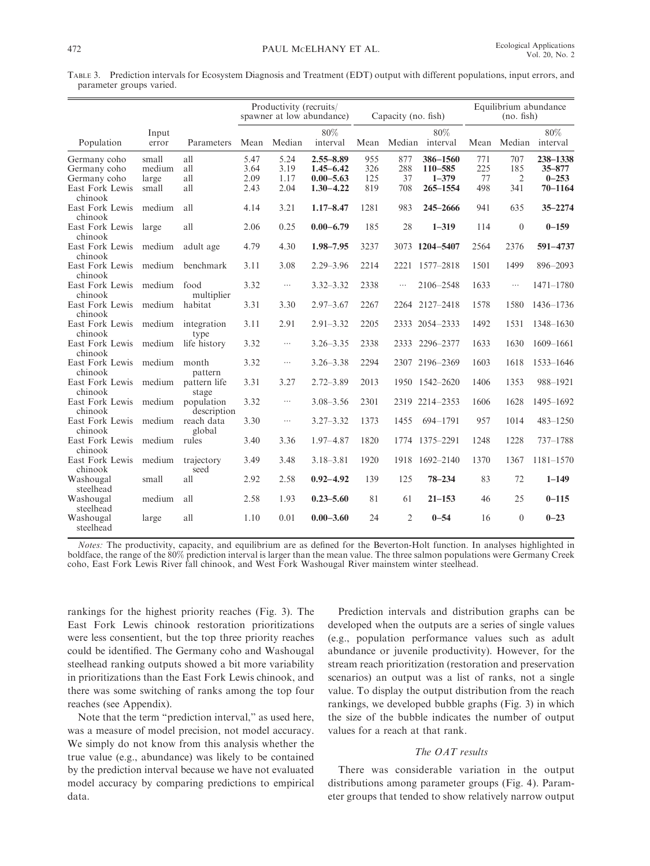TABLE 3. Prediction intervals for Ecosystem Diagnosis and Treatment (EDT) output with different populations, input errors, and parameter groups varied.

|                                                |                          |                      | Productivity (recruits/<br>spawner at low abundance) |                      | Capacity (no. fish)                             |                   | Equilibrium abundance<br>(no. fish) |                                      |                  |                              |                                     |
|------------------------------------------------|--------------------------|----------------------|------------------------------------------------------|----------------------|-------------------------------------------------|-------------------|-------------------------------------|--------------------------------------|------------------|------------------------------|-------------------------------------|
| Population                                     | Input<br>error           | Parameters           | Mean                                                 | Median               | 80%<br>interval                                 | Mean              |                                     | 80%<br>Median interval               | Mean             |                              | 80%<br>Median interval              |
| Germany coho<br>Germany coho<br>Germany coho   | small<br>medium<br>large | all<br>all<br>all    | 5.47<br>3.64<br>2.09                                 | 5.24<br>3.19<br>1.17 | $2.55 - 8.89$<br>$1.45 - 6.42$<br>$0.00 - 5.63$ | 955<br>326<br>125 | 877<br>288<br>37                    | 386-1560<br>$110 - 585$<br>$1 - 379$ | 771<br>225<br>77 | 707<br>185<br>$\overline{2}$ | 238-1338<br>$35 - 877$<br>$0 - 253$ |
| East Fork Lewis<br>chinook                     | small                    | all                  | 2.43                                                 | 2.04                 | $1.30 - 4.22$                                   | 819               | 708                                 | 265-1554                             | 498              | 341                          | $70 - 1164$                         |
| East Fork Lewis medium<br>chinook              |                          | all                  | 4.14                                                 | 3.21                 | $1.17 - 8.47$                                   | 1281              | 983                                 | 245-2666                             | 941              | 635                          | $35 - 2274$                         |
| East Fork Lewis<br>chinook                     | large                    | all                  | 2.06                                                 | 0.25                 | $0.00 - 6.79$                                   | 185               | 28                                  | $1 - 319$                            | 114              | $\theta$                     | $0 - 159$                           |
| East Fork Lewis medium<br>chinook              |                          | adult age            | 4.79                                                 | 4.30                 | 1.98-7.95                                       | 3237              |                                     | 3073 1204-5407                       | 2564             | 2376                         | 591-4737                            |
| East Fork Lewis<br>chinook                     | medium                   | benchmark            | 3.11                                                 | 3.08                 | $2.29 - 3.96$                                   | 2214              | 2221                                | 1577-2818                            | 1501             | 1499                         | 896-2093                            |
| East Fork Lewis<br>chinook                     | medium                   | food<br>multiplier   | 3.32                                                 | $\ldots$             | $3.32 - 3.32$                                   | 2338              | $\cdots$                            | 2106-2548                            | 1633             | $\cdots$                     | $1471 - 1780$                       |
| East Fork Lewis medium<br>chinook              |                          | habitat              | 3.31                                                 | 3.30                 | $2.97 - 3.67$                                   | 2267              | 2264                                | 2127-2418                            | 1578             | 1580                         | 1436-1736                           |
| East Fork Lewis medium<br>chinook              |                          | integration<br>type  | 3.11                                                 | 2.91                 | $2.91 - 3.32$                                   | 2205              |                                     | 2333 2054-2333                       | 1492             | 1531                         | 1348-1630                           |
| East Fork Lewis medium<br>chinook              |                          | life history         | 3.32                                                 | $\ldots$             | $3.26 - 3.35$                                   | 2338              |                                     | 2333 2296-2377                       | 1633             | 1630                         | 1609-1661                           |
| East Fork Lewis<br>chinook                     | medium                   | month<br>pattern     | 3.32                                                 | $\ldots$             | $3.26 - 3.38$                                   | 2294              |                                     | 2307 2196-2369                       | 1603             | 1618                         | 1533-1646                           |
| East Fork Lewis medium pattern life<br>chinook |                          | stage                | 3.31                                                 | 3.27                 | $2.72 - 3.89$                                   | 2013              |                                     | 1950 1542-2620                       | 1406             | 1353                         | 988-1921                            |
| East Fork Lewis medium population<br>chinook   |                          | description          | 3.32                                                 | $\ldots$             | $3.08 - 3.56$                                   | 2301              |                                     | 2319 2214-2353                       | 1606             | 1628                         | 1495-1692                           |
| East Fork Lewis<br>chinook                     | medium                   | reach data<br>global | 3.30                                                 | $\cdots$             | $3.27 - 3.32$                                   | 1373              | 1455                                | 694-1791                             | 957              | 1014                         | $483 - 1250$                        |
| East Fork Lewis<br>chinook                     | medium rules             |                      | 3.40                                                 | 3.36                 | $1.97 - 4.87$                                   | 1820              |                                     | 1774 1375-2291                       | 1248             | 1228                         | 737-1788                            |
| East Fork Lewis<br>chinook                     | medium                   | trajectory<br>seed   | 3.49                                                 | 3.48                 | $3.18 - 3.81$                                   | 1920              |                                     | 1918 1692-2140                       | 1370             | 1367                         | $1181 - 1570$                       |
| Washougal<br>steelhead                         | small                    | all                  | 2.92                                                 | 2.58                 | $0.92 - 4.92$                                   | 139               | 125                                 | $78 - 234$                           | 83               | 72                           | $1 - 149$                           |
| Washougal<br>steelhead                         | medium                   | all                  | 2.58                                                 | 1.93                 | $0.23 - 5.60$                                   | 81                | 61                                  | $21 - 153$                           | 46               | 25                           | $0 - 115$                           |
| Washougal<br>steelhead                         | large                    | all                  | 1.10                                                 | 0.01                 | $0.00 - 3.60$                                   | 24                | $\overline{2}$                      | $0 - 54$                             | 16               | $\theta$                     | $0 - 23$                            |

Notes: The productivity, capacity, and equilibrium are as defined for the Beverton-Holt function. In analyses highlighted in boldface, the range of the 80% prediction interval is larger than the mean value. The three salmon populations were Germany Creek coho, East Fork Lewis River fall chinook, and West Fork Washougal River mainstem winter steelhead.

rankings for the highest priority reaches (Fig. 3). The East Fork Lewis chinook restoration prioritizations were less consentient, but the top three priority reaches could be identified. The Germany coho and Washougal steelhead ranking outputs showed a bit more variability in prioritizations than the East Fork Lewis chinook, and there was some switching of ranks among the top four reaches (see Appendix).

Note that the term ''prediction interval,'' as used here, was a measure of model precision, not model accuracy. We simply do not know from this analysis whether the true value (e.g., abundance) was likely to be contained by the prediction interval because we have not evaluated model accuracy by comparing predictions to empirical data.

Prediction intervals and distribution graphs can be developed when the outputs are a series of single values (e.g., population performance values such as adult abundance or juvenile productivity). However, for the stream reach prioritization (restoration and preservation scenarios) an output was a list of ranks, not a single value. To display the output distribution from the reach rankings, we developed bubble graphs (Fig. 3) in which the size of the bubble indicates the number of output values for a reach at that rank.

# The OAT results

There was considerable variation in the output distributions among parameter groups (Fig. 4). Parameter groups that tended to show relatively narrow output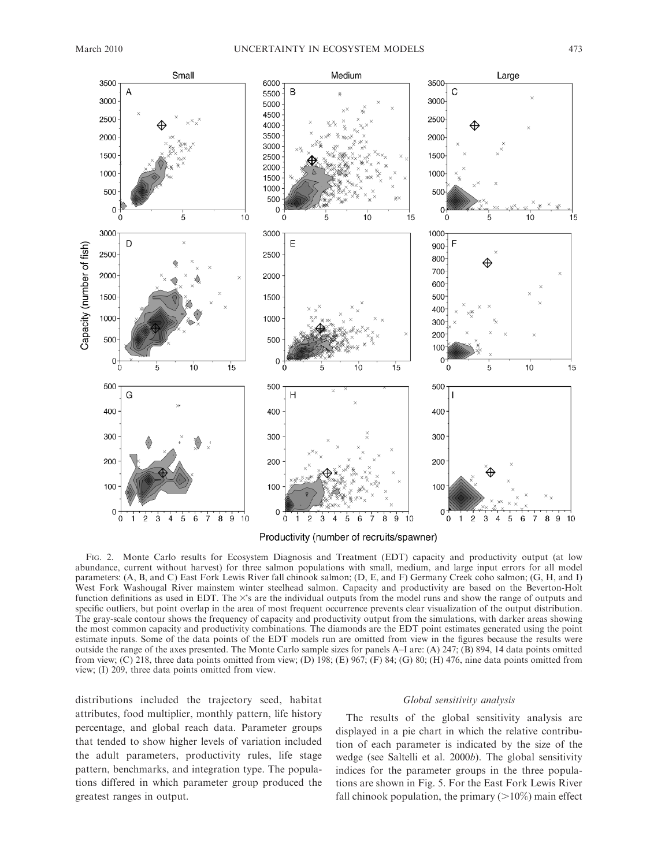

Productivity (number of recruits/spawner)

FIG. 2. Monte Carlo results for Ecosystem Diagnosis and Treatment (EDT) capacity and productivity output (at low abundance, current without harvest) for three salmon populations with small, medium, and large input errors for all model parameters: (A, B, and C) East Fork Lewis River fall chinook salmon; (D, E, and F) Germany Creek coho salmon; (G, H, and I) West Fork Washougal River mainstem winter steelhead salmon. Capacity and productivity are based on the Beverton-Holt function definitions as used in EDT. The  $\times$ 's are the individual outputs from the model runs and show the range of outputs and specific outliers, but point overlap in the area of most frequent occurrence prevents clear visualization of the output distribution. The gray-scale contour shows the frequency of capacity and productivity output from the simulations, with darker areas showing the most common capacity and productivity combinations. The diamonds are the EDT point estimates generated using the point estimate inputs. Some of the data points of the EDT models run are omitted from view in the figures because the results were outside the range of the axes presented. The Monte Carlo sample sizes for panels A–I are: (A) 247; (B) 894, 14 data points omitted from view; (C) 218, three data points omitted from view; (D) 198; (E) 967; (F) 84; (G) 80; (H) 476, nine data points omitted from view; (I) 209, three data points omitted from view.

distributions included the trajectory seed, habitat attributes, food multiplier, monthly pattern, life history percentage, and global reach data. Parameter groups that tended to show higher levels of variation included the adult parameters, productivity rules, life stage pattern, benchmarks, and integration type. The populations differed in which parameter group produced the greatest ranges in output.

#### Global sensitivity analysis

The results of the global sensitivity analysis are displayed in a pie chart in which the relative contribution of each parameter is indicated by the size of the wedge (see Saltelli et al. 2000b). The global sensitivity indices for the parameter groups in the three populations are shown in Fig. 5. For the East Fork Lewis River fall chinook population, the primary  $(>10\%)$  main effect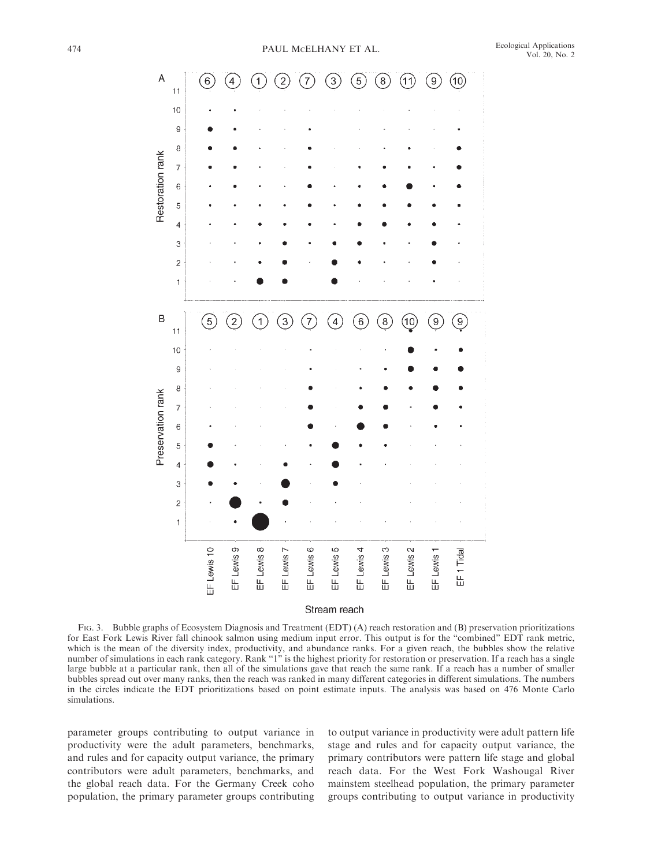

FIG. 3. Bubble graphs of Ecosystem Diagnosis and Treatment (EDT) (A) reach restoration and (B) preservation prioritizations for East Fork Lewis River fall chinook salmon using medium input error. This output is for the ''combined'' EDT rank metric, which is the mean of the diversity index, productivity, and abundance ranks. For a given reach, the bubbles show the relative number of simulations in each rank category. Rank "1" is the highest priority for restoration or preservation. If a reach has a single large bubble at a particular rank, then all of the simulations gave that reach the same rank. If a reach has a number of smaller bubbles spread out over many ranks, then the reach was ranked in many different categories in different simulations. The numbers in the circles indicate the EDT prioritizations based on point estimate inputs. The analysis was based on 476 Monte Carlo simulations.

parameter groups contributing to output variance in productivity were the adult parameters, benchmarks, and rules and for capacity output variance, the primary contributors were adult parameters, benchmarks, and the global reach data. For the Germany Creek coho population, the primary parameter groups contributing

to output variance in productivity were adult pattern life stage and rules and for capacity output variance, the primary contributors were pattern life stage and global reach data. For the West Fork Washougal River mainstem steelhead population, the primary parameter groups contributing to output variance in productivity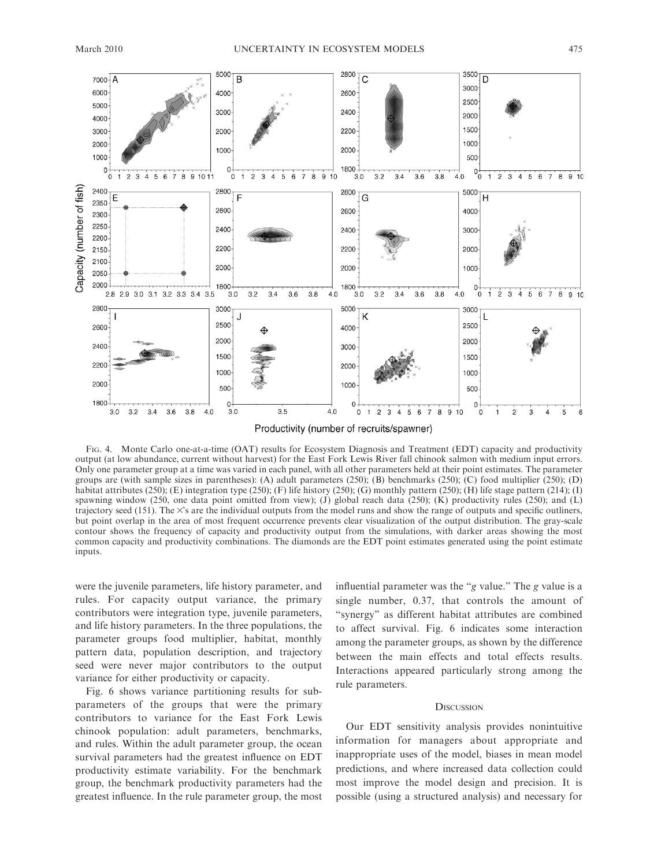

Productivity (number of recruits/spawner)

FIG. 4. Monte Carlo one-at-a-time (OAT) results for Ecosystem Diagnosis and Treatment (EDT) capacity and productivity output (at low abundance, current without harvest) for the East Fork Lewis River fall chinook salmon with medium input errors. Only one parameter group at a time was varied in each panel, with all other parameters held at their point estimates. The parameter groups are (with sample sizes in parentheses): (A) adult parameters (250); (B) benchmarks (250); (C) food multiplier (250); (D) habitat attributes (250); (E) integration type (250); (F) life history (250); (G) monthly pattern (250); (H) life stage pattern (214); (I) spawning window (250, one data point omitted from view); (J) global reach data (250); (K) productivity rules (250); and (L) trajectory seed (151). The  $\times$ 's are the individual outputs from the model runs and show the range of outputs and specific outliners, but point overlap in the area of most frequent occurrence prevents clear visualization of the output distribution. The gray-scale contour shows the frequency of capacity and productivity output from the simulations, with darker areas showing the most common capacity and productivity combinations. The diamonds are the EDT point estimates generated using the point estimate inputs.

were the juvenile parameters, life history parameter, and rules. For capacity output variance, the primary contributors were integration type, juvenile parameters, and life history parameters. In the three populations, the parameter groups food multiplier, habitat, monthly pattern data, population description, and trajectory seed were never major contributors to the output variance for either productivity or capacity.

Fig. 6 shows variance partitioning results for subparameters of the groups that were the primary contributors to variance for the East Fork Lewis chinook population: adult parameters, benchmarks, and rules. Within the adult parameter group, the ocean survival parameters had the greatest influence on EDT productivity estimate variability. For the benchmark group, the benchmark productivity parameters had the greatest influence. In the rule parameter group, the most

influential parameter was the "g value." The g value is a single number, 0.37, that controls the amount of ''synergy'' as different habitat attributes are combined to affect survival. Fig. 6 indicates some interaction among the parameter groups, as shown by the difference between the main effects and total effects results. Interactions appeared particularly strong among the rule parameters.

#### **DISCUSSION**

Our EDT sensitivity analysis provides nonintuitive information for managers about appropriate and inappropriate uses of the model, biases in mean model predictions, and where increased data collection could most improve the model design and precision. It is possible (using a structured analysis) and necessary for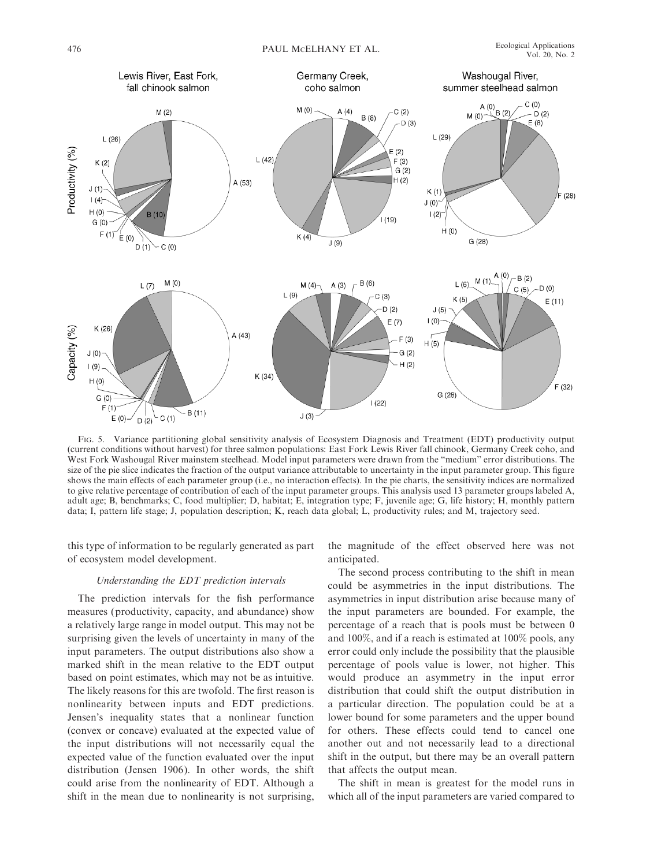

FIG. 5. Variance partitioning global sensitivity analysis of Ecosystem Diagnosis and Treatment (EDT) productivity output (current conditions without harvest) for three salmon populations: East Fork Lewis River fall chinook, Germany Creek coho, and West Fork Washougal River mainstem steelhead. Model input parameters were drawn from the ''medium'' error distributions. The size of the pie slice indicates the fraction of the output variance attributable to uncertainty in the input parameter group. This figure shows the main effects of each parameter group (i.e., no interaction effects). In the pie charts, the sensitivity indices are normalized to give relative percentage of contribution of each of the input parameter groups. This analysis used 13 parameter groups labeled A, adult age; B, benchmarks; C, food multiplier; D, habitat; E, integration type; F, juvenile age; G, life history; H, monthly pattern data; I, pattern life stage; J, population description; K, reach data global; L, productivity rules; and M, trajectory seed.

this type of information to be regularly generated as part of ecosystem model development.

# Understanding the EDT prediction intervals

The prediction intervals for the fish performance measures (productivity, capacity, and abundance) show a relatively large range in model output. This may not be surprising given the levels of uncertainty in many of the input parameters. The output distributions also show a marked shift in the mean relative to the EDT output based on point estimates, which may not be as intuitive. The likely reasons for this are twofold. The first reason is nonlinearity between inputs and EDT predictions. Jensen's inequality states that a nonlinear function (convex or concave) evaluated at the expected value of the input distributions will not necessarily equal the expected value of the function evaluated over the input distribution (Jensen 1906). In other words, the shift could arise from the nonlinearity of EDT. Although a shift in the mean due to nonlinearity is not surprising, the magnitude of the effect observed here was not anticipated.

The second process contributing to the shift in mean could be asymmetries in the input distributions. The asymmetries in input distribution arise because many of the input parameters are bounded. For example, the percentage of a reach that is pools must be between 0 and 100%, and if a reach is estimated at 100% pools, any error could only include the possibility that the plausible percentage of pools value is lower, not higher. This would produce an asymmetry in the input error distribution that could shift the output distribution in a particular direction. The population could be at a lower bound for some parameters and the upper bound for others. These effects could tend to cancel one another out and not necessarily lead to a directional shift in the output, but there may be an overall pattern that affects the output mean.

The shift in mean is greatest for the model runs in which all of the input parameters are varied compared to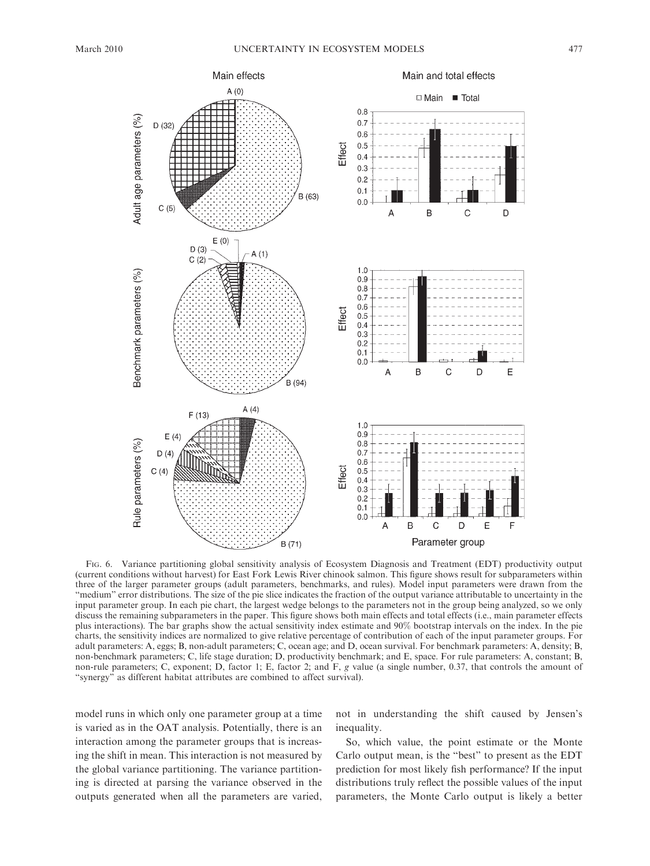

FIG. 6. Variance partitioning global sensitivity analysis of Ecosystem Diagnosis and Treatment (EDT) productivity output (current conditions without harvest) for East Fork Lewis River chinook salmon. This figure shows result for subparameters within three of the larger parameter groups (adult parameters, benchmarks, and rules). Model input parameters were drawn from the ''medium'' error distributions. The size of the pie slice indicates the fraction of the output variance attributable to uncertainty in the input parameter group. In each pie chart, the largest wedge belongs to the parameters not in the group being analyzed, so we only discuss the remaining subparameters in the paper. This figure shows both main effects and total effects (i.e., main parameter effects plus interactions). The bar graphs show the actual sensitivity index estimate and 90% bootstrap intervals on the index. In the pie charts, the sensitivity indices are normalized to give relative percentage of contribution of each of the input parameter groups. For adult parameters: A, eggs; B, non-adult parameters; C, ocean age; and D, ocean survival. For benchmark parameters: A, density; B, non-benchmark parameters; C, life stage duration; D, productivity benchmark; and E, space. For rule parameters: A, constant; B, non-rule parameters; C, exponent; D, factor 1; E, factor 2; and F, g value (a single number, 0.37, that controls the amount of ''synergy'' as different habitat attributes are combined to affect survival).

model runs in which only one parameter group at a time is varied as in the OAT analysis. Potentially, there is an interaction among the parameter groups that is increasing the shift in mean. This interaction is not measured by the global variance partitioning. The variance partitioning is directed at parsing the variance observed in the outputs generated when all the parameters are varied, not in understanding the shift caused by Jensen's inequality.

So, which value, the point estimate or the Monte Carlo output mean, is the ''best'' to present as the EDT prediction for most likely fish performance? If the input distributions truly reflect the possible values of the input parameters, the Monte Carlo output is likely a better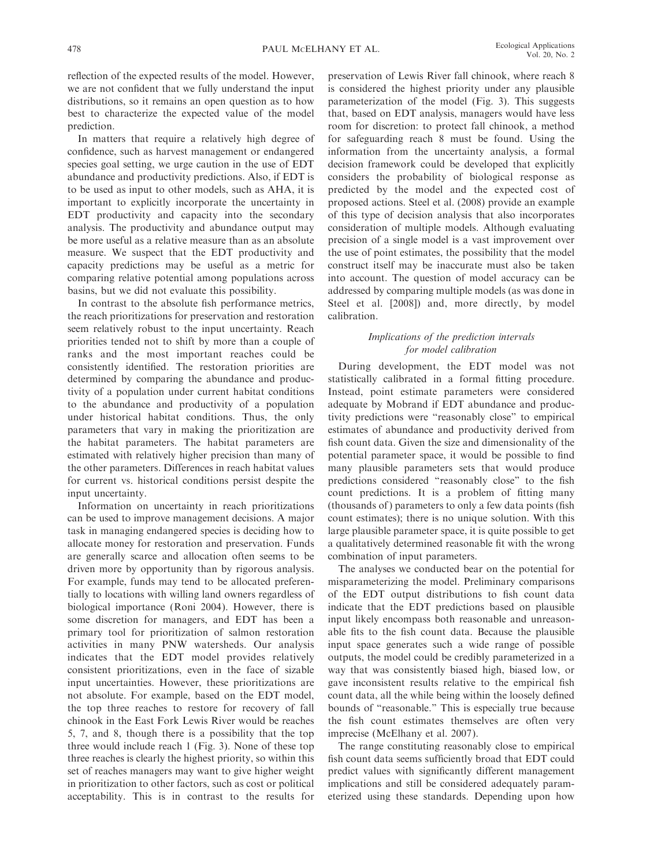reflection of the expected results of the model. However, we are not confident that we fully understand the input distributions, so it remains an open question as to how best to characterize the expected value of the model prediction.

In matters that require a relatively high degree of confidence, such as harvest management or endangered species goal setting, we urge caution in the use of EDT abundance and productivity predictions. Also, if EDT is to be used as input to other models, such as AHA, it is important to explicitly incorporate the uncertainty in EDT productivity and capacity into the secondary analysis. The productivity and abundance output may be more useful as a relative measure than as an absolute measure. We suspect that the EDT productivity and capacity predictions may be useful as a metric for comparing relative potential among populations across basins, but we did not evaluate this possibility.

In contrast to the absolute fish performance metrics, the reach prioritizations for preservation and restoration seem relatively robust to the input uncertainty. Reach priorities tended not to shift by more than a couple of ranks and the most important reaches could be consistently identified. The restoration priorities are determined by comparing the abundance and productivity of a population under current habitat conditions to the abundance and productivity of a population under historical habitat conditions. Thus, the only parameters that vary in making the prioritization are the habitat parameters. The habitat parameters are estimated with relatively higher precision than many of the other parameters. Differences in reach habitat values for current vs. historical conditions persist despite the input uncertainty.

Information on uncertainty in reach prioritizations can be used to improve management decisions. A major task in managing endangered species is deciding how to allocate money for restoration and preservation. Funds are generally scarce and allocation often seems to be driven more by opportunity than by rigorous analysis. For example, funds may tend to be allocated preferentially to locations with willing land owners regardless of biological importance (Roni 2004). However, there is some discretion for managers, and EDT has been a primary tool for prioritization of salmon restoration activities in many PNW watersheds. Our analysis indicates that the EDT model provides relatively consistent prioritizations, even in the face of sizable input uncertainties. However, these prioritizations are not absolute. For example, based on the EDT model, the top three reaches to restore for recovery of fall chinook in the East Fork Lewis River would be reaches 5, 7, and 8, though there is a possibility that the top three would include reach 1 (Fig. 3). None of these top three reaches is clearly the highest priority, so within this set of reaches managers may want to give higher weight in prioritization to other factors, such as cost or political acceptability. This is in contrast to the results for

preservation of Lewis River fall chinook, where reach 8 is considered the highest priority under any plausible parameterization of the model (Fig. 3). This suggests that, based on EDT analysis, managers would have less room for discretion: to protect fall chinook, a method for safeguarding reach 8 must be found. Using the information from the uncertainty analysis, a formal decision framework could be developed that explicitly considers the probability of biological response as predicted by the model and the expected cost of proposed actions. Steel et al. (2008) provide an example of this type of decision analysis that also incorporates consideration of multiple models. Although evaluating precision of a single model is a vast improvement over the use of point estimates, the possibility that the model construct itself may be inaccurate must also be taken into account. The question of model accuracy can be addressed by comparing multiple models (as was done in Steel et al. [2008]) and, more directly, by model calibration.

# Implications of the prediction intervals for model calibration

During development, the EDT model was not statistically calibrated in a formal fitting procedure. Instead, point estimate parameters were considered adequate by Mobrand if EDT abundance and productivity predictions were ''reasonably close'' to empirical estimates of abundance and productivity derived from fish count data. Given the size and dimensionality of the potential parameter space, it would be possible to find many plausible parameters sets that would produce predictions considered ''reasonably close'' to the fish count predictions. It is a problem of fitting many (thousands of ) parameters to only a few data points (fish count estimates); there is no unique solution. With this large plausible parameter space, it is quite possible to get a qualitatively determined reasonable fit with the wrong combination of input parameters.

The analyses we conducted bear on the potential for misparameterizing the model. Preliminary comparisons of the EDT output distributions to fish count data indicate that the EDT predictions based on plausible input likely encompass both reasonable and unreasonable fits to the fish count data. Because the plausible input space generates such a wide range of possible outputs, the model could be credibly parameterized in a way that was consistently biased high, biased low, or gave inconsistent results relative to the empirical fish count data, all the while being within the loosely defined bounds of ''reasonable.'' This is especially true because the fish count estimates themselves are often very imprecise (McElhany et al. 2007).

The range constituting reasonably close to empirical fish count data seems sufficiently broad that EDT could predict values with significantly different management implications and still be considered adequately parameterized using these standards. Depending upon how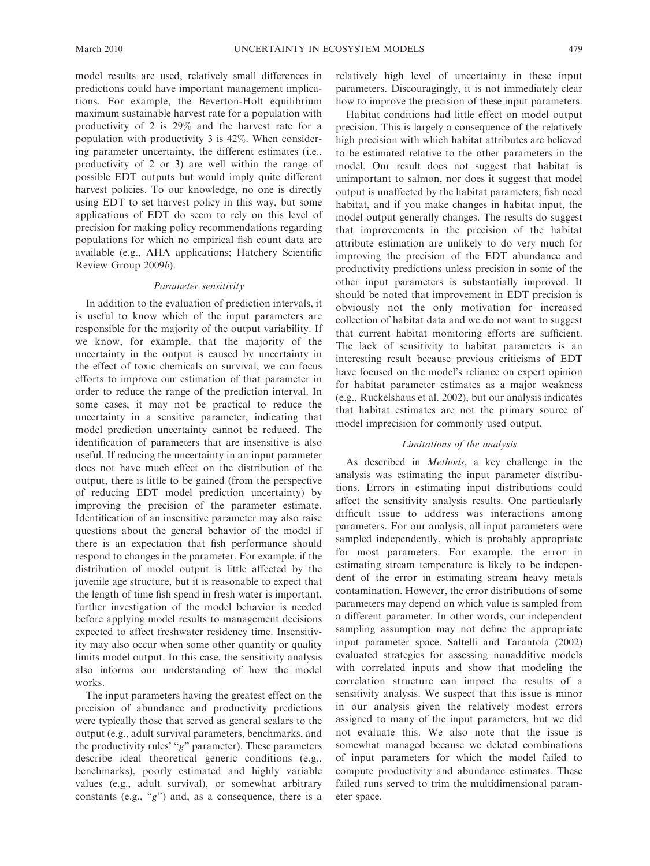model results are used, relatively small differences in predictions could have important management implications. For example, the Beverton-Holt equilibrium maximum sustainable harvest rate for a population with productivity of 2 is 29% and the harvest rate for a population with productivity 3 is 42%. When considering parameter uncertainty, the different estimates (i.e., productivity of 2 or 3) are well within the range of possible EDT outputs but would imply quite different harvest policies. To our knowledge, no one is directly using EDT to set harvest policy in this way, but some applications of EDT do seem to rely on this level of precision for making policy recommendations regarding populations for which no empirical fish count data are available (e.g., AHA applications; Hatchery Scientific Review Group 2009b).

#### Parameter sensitivity

In addition to the evaluation of prediction intervals, it is useful to know which of the input parameters are responsible for the majority of the output variability. If we know, for example, that the majority of the uncertainty in the output is caused by uncertainty in the effect of toxic chemicals on survival, we can focus efforts to improve our estimation of that parameter in order to reduce the range of the prediction interval. In some cases, it may not be practical to reduce the uncertainty in a sensitive parameter, indicating that model prediction uncertainty cannot be reduced. The identification of parameters that are insensitive is also useful. If reducing the uncertainty in an input parameter does not have much effect on the distribution of the output, there is little to be gained (from the perspective of reducing EDT model prediction uncertainty) by improving the precision of the parameter estimate. Identification of an insensitive parameter may also raise questions about the general behavior of the model if there is an expectation that fish performance should respond to changes in the parameter. For example, if the distribution of model output is little affected by the juvenile age structure, but it is reasonable to expect that the length of time fish spend in fresh water is important, further investigation of the model behavior is needed before applying model results to management decisions expected to affect freshwater residency time. Insensitivity may also occur when some other quantity or quality limits model output. In this case, the sensitivity analysis also informs our understanding of how the model works.

The input parameters having the greatest effect on the precision of abundance and productivity predictions were typically those that served as general scalars to the output (e.g., adult survival parameters, benchmarks, and the productivity rules' " $g$ " parameter). These parameters describe ideal theoretical generic conditions (e.g., benchmarks), poorly estimated and highly variable values (e.g., adult survival), or somewhat arbitrary constants (e.g., " $g$ ") and, as a consequence, there is a relatively high level of uncertainty in these input parameters. Discouragingly, it is not immediately clear how to improve the precision of these input parameters.

Habitat conditions had little effect on model output precision. This is largely a consequence of the relatively high precision with which habitat attributes are believed to be estimated relative to the other parameters in the model. Our result does not suggest that habitat is unimportant to salmon, nor does it suggest that model output is unaffected by the habitat parameters; fish need habitat, and if you make changes in habitat input, the model output generally changes. The results do suggest that improvements in the precision of the habitat attribute estimation are unlikely to do very much for improving the precision of the EDT abundance and productivity predictions unless precision in some of the other input parameters is substantially improved. It should be noted that improvement in EDT precision is obviously not the only motivation for increased collection of habitat data and we do not want to suggest that current habitat monitoring efforts are sufficient. The lack of sensitivity to habitat parameters is an interesting result because previous criticisms of EDT have focused on the model's reliance on expert opinion for habitat parameter estimates as a major weakness (e.g., Ruckelshaus et al. 2002), but our analysis indicates that habitat estimates are not the primary source of model imprecision for commonly used output.

# Limitations of the analysis

As described in Methods, a key challenge in the analysis was estimating the input parameter distributions. Errors in estimating input distributions could affect the sensitivity analysis results. One particularly difficult issue to address was interactions among parameters. For our analysis, all input parameters were sampled independently, which is probably appropriate for most parameters. For example, the error in estimating stream temperature is likely to be independent of the error in estimating stream heavy metals contamination. However, the error distributions of some parameters may depend on which value is sampled from a different parameter. In other words, our independent sampling assumption may not define the appropriate input parameter space. Saltelli and Tarantola (2002) evaluated strategies for assessing nonadditive models with correlated inputs and show that modeling the correlation structure can impact the results of a sensitivity analysis. We suspect that this issue is minor in our analysis given the relatively modest errors assigned to many of the input parameters, but we did not evaluate this. We also note that the issue is somewhat managed because we deleted combinations of input parameters for which the model failed to compute productivity and abundance estimates. These failed runs served to trim the multidimensional parameter space.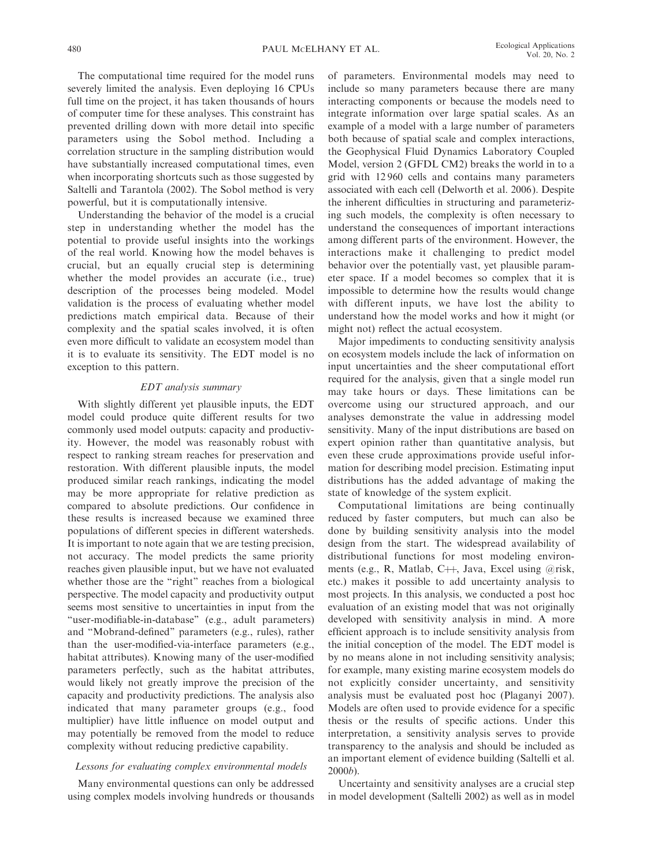The computational time required for the model runs severely limited the analysis. Even deploying 16 CPUs full time on the project, it has taken thousands of hours of computer time for these analyses. This constraint has prevented drilling down with more detail into specific parameters using the Sobol method. Including a correlation structure in the sampling distribution would have substantially increased computational times, even when incorporating shortcuts such as those suggested by Saltelli and Tarantola (2002). The Sobol method is very powerful, but it is computationally intensive.

Understanding the behavior of the model is a crucial step in understanding whether the model has the potential to provide useful insights into the workings of the real world. Knowing how the model behaves is crucial, but an equally crucial step is determining whether the model provides an accurate (i.e., true) description of the processes being modeled. Model validation is the process of evaluating whether model predictions match empirical data. Because of their complexity and the spatial scales involved, it is often even more difficult to validate an ecosystem model than it is to evaluate its sensitivity. The EDT model is no exception to this pattern.

## EDT analysis summary

With slightly different yet plausible inputs, the EDT model could produce quite different results for two commonly used model outputs: capacity and productivity. However, the model was reasonably robust with respect to ranking stream reaches for preservation and restoration. With different plausible inputs, the model produced similar reach rankings, indicating the model may be more appropriate for relative prediction as compared to absolute predictions. Our confidence in these results is increased because we examined three populations of different species in different watersheds. It is important to note again that we are testing precision, not accuracy. The model predicts the same priority reaches given plausible input, but we have not evaluated whether those are the "right" reaches from a biological perspective. The model capacity and productivity output seems most sensitive to uncertainties in input from the "user-modifiable-in-database" (e.g., adult parameters) and ''Mobrand-defined'' parameters (e.g., rules), rather than the user-modified-via-interface parameters (e.g., habitat attributes). Knowing many of the user-modified parameters perfectly, such as the habitat attributes, would likely not greatly improve the precision of the capacity and productivity predictions. The analysis also indicated that many parameter groups (e.g., food multiplier) have little influence on model output and may potentially be removed from the model to reduce complexity without reducing predictive capability.

# Lessons for evaluating complex environmental models

Many environmental questions can only be addressed using complex models involving hundreds or thousands of parameters. Environmental models may need to include so many parameters because there are many interacting components or because the models need to integrate information over large spatial scales. As an example of a model with a large number of parameters both because of spatial scale and complex interactions, the Geophysical Fluid Dynamics Laboratory Coupled Model, version 2 (GFDL CM2) breaks the world in to a grid with 12 960 cells and contains many parameters associated with each cell (Delworth et al. 2006). Despite the inherent difficulties in structuring and parameterizing such models, the complexity is often necessary to understand the consequences of important interactions among different parts of the environment. However, the interactions make it challenging to predict model behavior over the potentially vast, yet plausible parameter space. If a model becomes so complex that it is impossible to determine how the results would change with different inputs, we have lost the ability to understand how the model works and how it might (or might not) reflect the actual ecosystem.

Major impediments to conducting sensitivity analysis on ecosystem models include the lack of information on input uncertainties and the sheer computational effort required for the analysis, given that a single model run may take hours or days. These limitations can be overcome using our structured approach, and our analyses demonstrate the value in addressing model sensitivity. Many of the input distributions are based on expert opinion rather than quantitative analysis, but even these crude approximations provide useful information for describing model precision. Estimating input distributions has the added advantage of making the state of knowledge of the system explicit.

Computational limitations are being continually reduced by faster computers, but much can also be done by building sensitivity analysis into the model design from the start. The widespread availability of distributional functions for most modeling environments (e.g., R, Matlab, C++, Java, Excel using  $@$ risk, etc.) makes it possible to add uncertainty analysis to most projects. In this analysis, we conducted a post hoc evaluation of an existing model that was not originally developed with sensitivity analysis in mind. A more efficient approach is to include sensitivity analysis from the initial conception of the model. The EDT model is by no means alone in not including sensitivity analysis; for example, many existing marine ecosystem models do not explicitly consider uncertainty, and sensitivity analysis must be evaluated post hoc (Plaganyi 2007). Models are often used to provide evidence for a specific thesis or the results of specific actions. Under this interpretation, a sensitivity analysis serves to provide transparency to the analysis and should be included as an important element of evidence building (Saltelli et al. 2000b).

Uncertainty and sensitivity analyses are a crucial step in model development (Saltelli 2002) as well as in model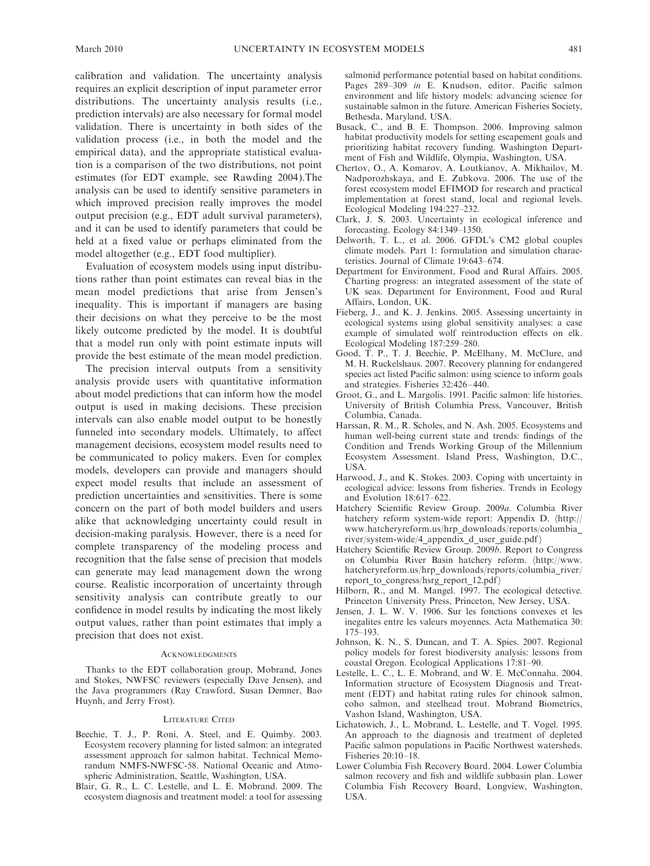calibration and validation. The uncertainty analysis requires an explicit description of input parameter error distributions. The uncertainty analysis results (i.e., prediction intervals) are also necessary for formal model validation. There is uncertainty in both sides of the validation process (i.e., in both the model and the empirical data), and the appropriate statistical evaluation is a comparison of the two distributions, not point estimates (for EDT example, see Rawding 2004).The analysis can be used to identify sensitive parameters in which improved precision really improves the model output precision (e.g., EDT adult survival parameters), and it can be used to identify parameters that could be held at a fixed value or perhaps eliminated from the model altogether (e.g., EDT food multiplier).

Evaluation of ecosystem models using input distributions rather than point estimates can reveal bias in the mean model predictions that arise from Jensen's inequality. This is important if managers are basing their decisions on what they perceive to be the most likely outcome predicted by the model. It is doubtful that a model run only with point estimate inputs will provide the best estimate of the mean model prediction.

The precision interval outputs from a sensitivity analysis provide users with quantitative information about model predictions that can inform how the model output is used in making decisions. These precision intervals can also enable model output to be honestly funneled into secondary models. Ultimately, to affect management decisions, ecosystem model results need to be communicated to policy makers. Even for complex models, developers can provide and managers should expect model results that include an assessment of prediction uncertainties and sensitivities. There is some concern on the part of both model builders and users alike that acknowledging uncertainty could result in decision-making paralysis. However, there is a need for complete transparency of the modeling process and recognition that the false sense of precision that models can generate may lead management down the wrong course. Realistic incorporation of uncertainty through sensitivity analysis can contribute greatly to our confidence in model results by indicating the most likely output values, rather than point estimates that imply a precision that does not exist.

#### **ACKNOWLEDGMENTS**

Thanks to the EDT collaboration group, Mobrand, Jones and Stokes, NWFSC reviewers (especially Dave Jensen), and the Java programmers (Ray Crawford, Susan Demner, Bao Huynh, and Jerry Frost).

#### LITERATURE CITED

- Beechie, T. J., P. Roni, A. Steel, and E. Quimby. 2003. Ecosystem recovery planning for listed salmon: an integrated assessment approach for salmon habitat. Technical Memorandum NMFS-NWFSC-58. National Oceanic and Atmospheric Administration, Seattle, Washington, USA.
- Blair, G. R., L. C. Lestelle, and L. E. Mobrand. 2009. The ecosystem diagnosis and treatment model: a tool for assessing

salmonid performance potential based on habitat conditions. Pages 289-309 in E. Knudson, editor. Pacific salmon environment and life history models: advancing science for sustainable salmon in the future. American Fisheries Society, Bethesda, Maryland, USA.

- Busack, C., and B. E. Thompson. 2006. Improving salmon habitat productivity models for setting escapement goals and prioritizing habitat recovery funding. Washington Department of Fish and Wildlife, Olympia, Washington, USA.
- Chertov, O., A. Komarov, A. Loutkianov, A. Mikhailov, M. Nadporozhskaya, and E. Zubkova. 2006. The use of the forest ecosystem model EFIMOD for research and practical implementation at forest stand, local and regional levels. Ecological Modeling 194:227–232.
- Clark, J. S. 2003. Uncertainty in ecological inference and forecasting. Ecology 84:1349–1350.
- Delworth, T. L., et al. 2006. GFDL's CM2 global couples climate models. Part 1: formulation and simulation characteristics. Journal of Climate 19:643–674.
- Department for Environment, Food and Rural Affairs. 2005. Charting progress: an integrated assessment of the state of UK seas. Department for Environment, Food and Rural Affairs, London, UK.
- Fieberg, J., and K. J. Jenkins. 2005. Assessing uncertainty in ecological systems using global sensitivity analyses: a case example of simulated wolf reintroduction effects on elk. Ecological Modeling 187:259–280.
- Good, T. P., T. J. Beechie, P. McElhany, M. McClure, and M. H. Ruckelshaus. 2007. Recovery planning for endangered species act listed Pacific salmon: using science to inform goals and strategies. Fisheries 32:426–440.
- Groot, G., and L. Margolis. 1991. Pacific salmon: life histories. University of British Columbia Press, Vancouver, British Columbia, Canada.
- Harssan, R. M., R. Scholes, and N. Ash. 2005. Ecosystems and human well-being current state and trends: findings of the Condition and Trends Working Group of the Millennium Ecosystem Assessment. Island Press, Washington, D.C., USA.
- Harwood, J., and K. Stokes. 2003. Coping with uncertainty in ecological advice: lessons from fisheries. Trends in Ecology and Evolution 18:617–622.
- Hatchery Scientific Review Group. 2009a. Columbia River hatchery reform system-wide report: Appendix D. (http:// www.hatcheryreform.us/hrp\_downloads/reports/columbia\_ river/system-wide/4\_appendix\_d\_user\_guide.pdfi
- Hatchery Scientific Review Group. 2009b. Report to Congress on Columbia River Basin hatchery reform. (http://www. hatcheryreform.us/hrp\_downloads/reports/columbia\_river/ report to congress/hsrg report  $12.pdf$
- Hilborn, R., and M. Mangel. 1997. The ecological detective. Princeton University Press, Princeton, New Jersey, USA.
- Jensen, J. L. W. V. 1906. Sur les fonctions convexes et les inegalites entre les valeurs moyennes. Acta Mathematica 30: 175–193.
- Johnson, K. N., S. Duncan, and T. A. Spies. 2007. Regional policy models for forest biodiversity analysis: lessons from coastal Oregon. Ecological Applications 17:81–90.
- Lestelle, L. C., L. E. Mobrand, and W. E. McConnaha. 2004. Information structure of Ecosystem Diagnosis and Treatment (EDT) and habitat rating rules for chinook salmon, coho salmon, and steelhead trout. Mobrand Biometrics, Vashon Island, Washington, USA.
- Lichatowich, J., L. Mobrand, L. Lestelle, and T. Vogel. 1995. An approach to the diagnosis and treatment of depleted Pacific salmon populations in Pacific Northwest watersheds. Fisheries 20:10–18.
- Lower Columbia Fish Recovery Board. 2004. Lower Columbia salmon recovery and fish and wildlife subbasin plan. Lower Columbia Fish Recovery Board, Longview, Washington, USA.